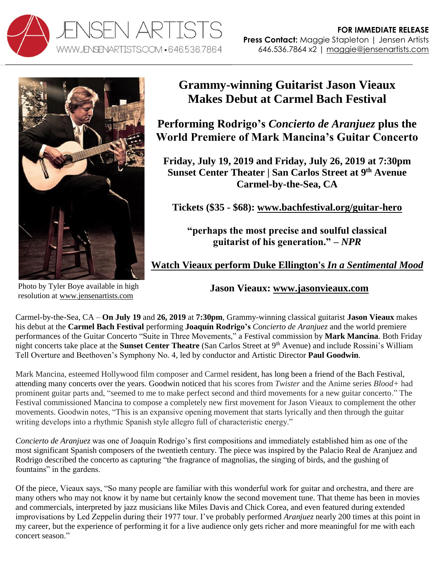



## **Grammy-winning Guitarist Jason Vieaux Makes Debut at Carmel Bach Festival**

**Performing Rodrigo's** *Concierto de Aranjuez* **plus the World Premiere of Mark Mancina's Guitar Concerto** 

**Friday, July 19, 2019 and Friday, July 26, 2019 at 7:30pm Sunset Center Theater | San Carlos Street at 9th Avenue Carmel-by-the-Sea, CA** 

**Tickets (\$35 - \$68): [www.bachfestival.org/guitar-hero](http://www.bachfestival.org/guitar-hero)**

**"perhaps the most precise and soulful classical guitarist of his generation." –** *NPR*

**[Watch Vieaux perform Duke Ellington's](http://www.youtube.com/watch?v=6Mod9vYk4IE)** *In a Sentimental Mood*

Photo by Tyler Boye available in high resolution at [www.jensenartists.com](http://www.jensenartists.com/jason-vieaux)

**Jason Vieaux: [www.jasonvieaux.com](http://www.jasonvieaux.com/)**

Carmel-by-the-Sea, CA – **On July 19** and **26, 2019** at **7:30pm**, Grammy-winning classical guitarist **Jason Vieaux** makes his debut at the **Carmel Bach Festival** performing **Joaquín Rodrigo's** *Concierto de Aranjuez* and the world premiere performances of the Guitar Concerto "Suite in Three Movements," a Festival commission by **Mark Mancina**. Both Friday night concerts take place at the **Sunset Center Theatre** (San Carlos Street at 9<sup>th</sup> Avenue) and include Rossini's William Tell Overture and Beethoven's Symphony No. 4, led by conductor and Artistic Director **Paul Goodwin**.

Mark Mancina, esteemed Hollywood film composer and Carmel resident, has long been a friend of the Bach Festival, attending many concerts over the years. Goodwin noticed that his scores from *Twister* and the Anime series *Blood+* had prominent guitar parts and, "seemed to me to make perfect second and third movements for a new guitar concerto." The Festival commissioned Mancina to compose a completely new first movement for Jason Vieaux to complement the other movements. Goodwin notes, "This is an expansive opening movement that starts lyrically and then through the guitar writing develops into a rhythmic Spanish style allegro full of characteristic energy."

*Concierto de Aranjuez* was one of Joaquín Rodrigo's first compositions and immediately established him as one of the most significant Spanish composers of the twentieth century. The piece was inspired by the Palacio Real de Aranjuez and Rodrigo described the concerto as capturing "the fragrance of magnolias, the singing of birds, and the gushing of fountains" in the gardens.

Of the piece, Vieaux says, "So many people are familiar with this wonderful work for guitar and orchestra, and there are many others who may not know it by name but certainly know the second movement tune. That theme has been in movies and commercials, interpreted by jazz musicians like Miles Davis and Chick Corea, and even featured during extended improvisations by Led Zeppelin during their 1977 tour. I've probably performed *Aranjuez* nearly 200 times at this point in my career, but the experience of performing it for a live audience only gets richer and more meaningful for me with each concert season."